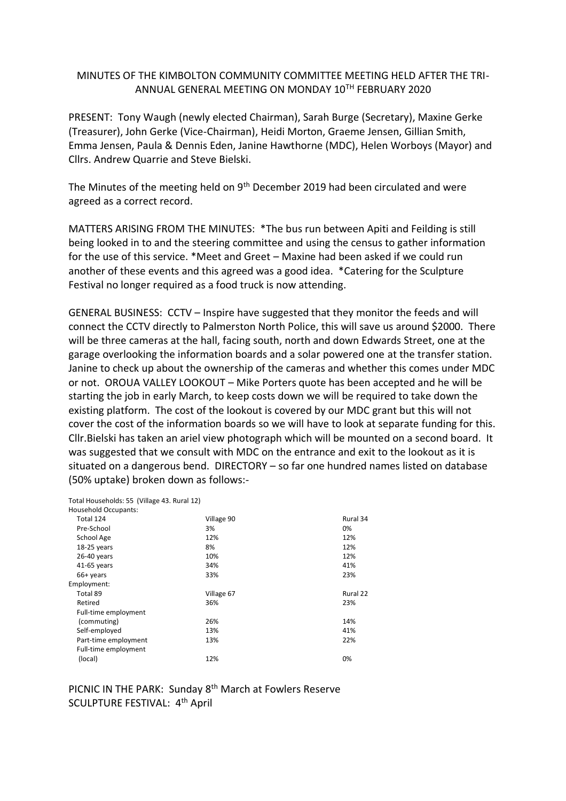## MINUTES OF THE KIMBOLTON COMMUNITY COMMITTEE MEETING HELD AFTER THE TRI-ANNUAL GENERAL MEETING ON MONDAY 10TH FEBRUARY 2020

PRESENT: Tony Waugh (newly elected Chairman), Sarah Burge (Secretary), Maxine Gerke (Treasurer), John Gerke (Vice-Chairman), Heidi Morton, Graeme Jensen, Gillian Smith, Emma Jensen, Paula & Dennis Eden, Janine Hawthorne (MDC), Helen Worboys (Mayor) and Cllrs. Andrew Quarrie and Steve Bielski.

The Minutes of the meeting held on 9<sup>th</sup> December 2019 had been circulated and were agreed as a correct record.

MATTERS ARISING FROM THE MINUTES: \*The bus run between Apiti and Feilding is still being looked in to and the steering committee and using the census to gather information for the use of this service. \*Meet and Greet – Maxine had been asked if we could run another of these events and this agreed was a good idea. \*Catering for the Sculpture Festival no longer required as a food truck is now attending.

GENERAL BUSINESS: CCTV – Inspire have suggested that they monitor the feeds and will connect the CCTV directly to Palmerston North Police, this will save us around \$2000. There will be three cameras at the hall, facing south, north and down Edwards Street, one at the garage overlooking the information boards and a solar powered one at the transfer station. Janine to check up about the ownership of the cameras and whether this comes under MDC or not. OROUA VALLEY LOOKOUT – Mike Porters quote has been accepted and he will be starting the job in early March, to keep costs down we will be required to take down the existing platform. The cost of the lookout is covered by our MDC grant but this will not cover the cost of the information boards so we will have to look at separate funding for this. Cllr.Bielski has taken an ariel view photograph which will be mounted on a second board. It was suggested that we consult with MDC on the entrance and exit to the lookout as it is situated on a dangerous bend. DIRECTORY – so far one hundred names listed on database (50% uptake) broken down as follows:-

| Total Households: 55 (Village 43. Rural 12) |            |          |
|---------------------------------------------|------------|----------|
| <b>Household Occupants:</b>                 |            |          |
| Total 124                                   | Village 90 | Rural 34 |
| Pre-School                                  | 3%         | 0%       |
| School Age                                  | 12%        | 12%      |
| 18-25 years                                 | 8%         | 12%      |
| 26-40 years                                 | 10%        | 12%      |
| 41-65 years                                 | 34%        | 41%      |
| 66+ years                                   | 33%        | 23%      |
| Employment:                                 |            |          |
| Total 89                                    | Village 67 | Rural 22 |
| Retired                                     | 36%        | 23%      |
| Full-time employment                        |            |          |
| (commuting)                                 | 26%        | 14%      |
| Self-employed                               | 13%        | 41%      |
| Part-time employment                        | 13%        | 22%      |
| Full-time employment                        |            |          |
| (local)                                     | 12%        | 0%       |

PICNIC IN THE PARK: Sunday 8<sup>th</sup> March at Fowlers Reserve SCULPTURE FESTIVAL: 4th April